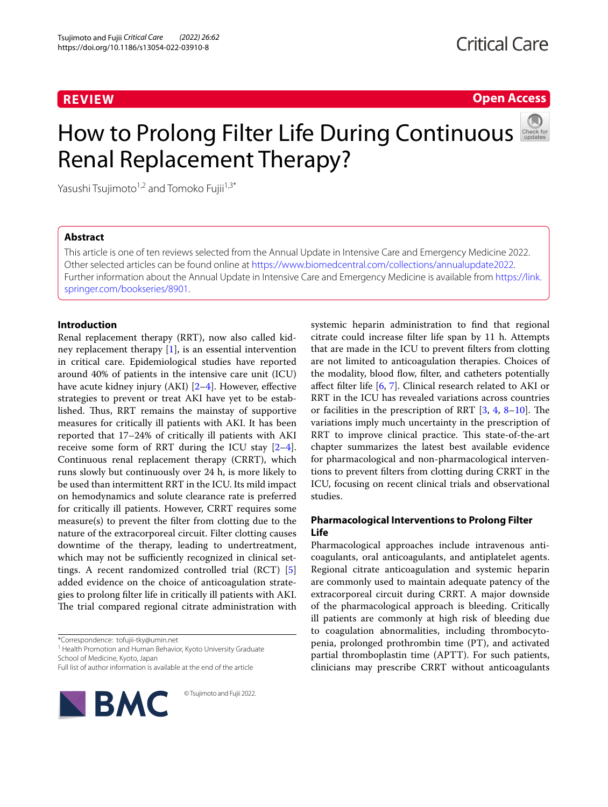## **REVIEW**

# **Open Access**

# How to Prolong Filter Life During Continuous Renal Replacement Therapy?



Yasushi Tsujimoto<sup>1,2</sup> and Tomoko Fujii<sup>1,3\*</sup>

## **Abstract**

This article is one of ten reviews selected from the Annual Update in Intensive Care and Emergency Medicine 2022. Other selected articles can be found online at <https://www.biomedcentral.com/collections/annualupdate2022>. Further information about the Annual Update in Intensive Care and Emergency Medicine is available from [https://link.](https://link.springer.com/bookseries/8901) [springer.com/bookseries/8901.](https://link.springer.com/bookseries/8901)

## **Introduction**

Renal replacement therapy (RRT), now also called kidney replacement therapy [[1](#page-4-0)], is an essential intervention in critical care. Epidemiological studies have reported around 40% of patients in the intensive care unit (ICU) have acute kidney injury (AKI)  $[2-4]$  $[2-4]$ . However, effective strategies to prevent or treat AKI have yet to be established. Thus, RRT remains the mainstay of supportive measures for critically ill patients with AKI. It has been reported that 17–24% of critically ill patients with AKI receive some form of RRT during the ICU stay [\[2](#page-4-1)[–4](#page-4-2)]. Continuous renal replacement therapy (CRRT), which runs slowly but continuously over 24 h, is more likely to be used than intermittent RRT in the ICU. Its mild impact on hemodynamics and solute clearance rate is preferred for critically ill patients. However, CRRT requires some measure(s) to prevent the flter from clotting due to the nature of the extracorporeal circuit. Filter clotting causes downtime of the therapy, leading to undertreatment, which may not be sufficiently recognized in clinical settings. A recent randomized controlled trial (RCT) [\[5](#page-4-3)] added evidence on the choice of anticoagulation strategies to prolong flter life in critically ill patients with AKI. The trial compared regional citrate administration with

\*Correspondence: tofujii-tky@umin.net

<sup>1</sup> Health Promotion and Human Behavior, Kyoto University Graduate School of Medicine, Kyoto, Japan

Full list of author information is available at the end of the article



© Tsujimoto and Fujii 2022.

systemic heparin administration to fnd that regional citrate could increase flter life span by 11 h. Attempts that are made in the ICU to prevent flters from clotting are not limited to anticoagulation therapies. Choices of the modality, blood flow, filter, and catheters potentially afect flter life [\[6](#page-4-4), [7](#page-4-5)]. Clinical research related to AKI or RRT in the ICU has revealed variations across countries or facilities in the prescription of RRT  $[3, 4, 8-10]$  $[3, 4, 8-10]$  $[3, 4, 8-10]$  $[3, 4, 8-10]$  $[3, 4, 8-10]$  $[3, 4, 8-10]$  $[3, 4, 8-10]$ . The variations imply much uncertainty in the prescription of RRT to improve clinical practice. This state-of-the-art chapter summarizes the latest best available evidence for pharmacological and non-pharmacological interventions to prevent flters from clotting during CRRT in the ICU, focusing on recent clinical trials and observational studies.

## **Pharmacological Interventions to Prolong Filter Life**

Pharmacological approaches include intravenous anticoagulants, oral anticoagulants, and antiplatelet agents. Regional citrate anticoagulation and systemic heparin are commonly used to maintain adequate patency of the extracorporeal circuit during CRRT. A major downside of the pharmacological approach is bleeding. Critically ill patients are commonly at high risk of bleeding due to coagulation abnormalities, including thrombocytopenia, prolonged prothrombin time (PT), and activated partial thromboplastin time (APTT). For such patients, clinicians may prescribe CRRT without anticoagulants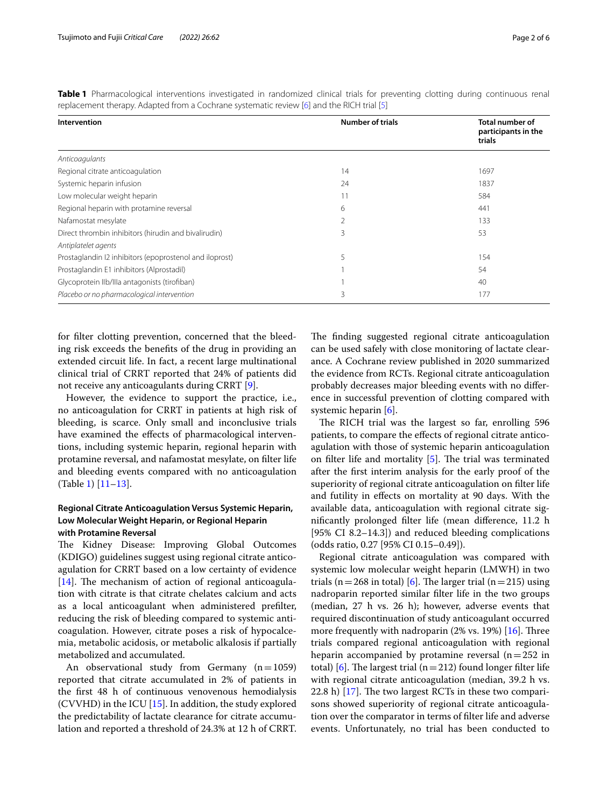| Intervention                                            | <b>Number of trials</b> | <b>Total number of</b><br>participants in the<br>trials |
|---------------------------------------------------------|-------------------------|---------------------------------------------------------|
| Anticoagulants                                          |                         |                                                         |
| Regional citrate anticoagulation                        | 14                      | 1697                                                    |
| Systemic heparin infusion                               | 24                      | 1837                                                    |
| Low molecular weight heparin                            |                         | 584                                                     |
| Regional heparin with protamine reversal                | 6                       | 441                                                     |
| Nafamostat mesylate                                     | $\mathfrak{D}$          | 133                                                     |
| Direct thrombin inhibitors (hirudin and bivalirudin)    | 3                       | 53                                                      |
| Antiplatelet agents                                     |                         |                                                         |
| Prostaglandin I2 inhibitors (epoprostenol and iloprost) | 5                       | 154                                                     |
| Prostaglandin E1 inhibitors (Alprostadil)               |                         | 54                                                      |
| Glycoprotein Ilb/Illa antagonists (tirofiban)           |                         | 40                                                      |
| Placebo or no pharmacological intervention              | 3                       | 177                                                     |

<span id="page-1-0"></span>**Table 1** Pharmacological interventions investigated in randomized clinical trials for preventing clotting during continuous renal replacement therapy. Adapted from a Cochrane systematic review [[6](#page-4-4)] and the RICH trial [\[5\]](#page-4-3)

for flter clotting prevention, concerned that the bleeding risk exceeds the benefts of the drug in providing an extended circuit life. In fact, a recent large multinational clinical trial of CRRT reported that 24% of patients did not receive any anticoagulants during CRRT [[9\]](#page-4-9).

However, the evidence to support the practice, i.e., no anticoagulation for CRRT in patients at high risk of bleeding, is scarce. Only small and inconclusive trials have examined the effects of pharmacological interventions, including systemic heparin, regional heparin with protamine reversal, and nafamostat mesylate, on flter life and bleeding events compared with no anticoagulation (Table [1](#page-1-0)) [\[11](#page-4-10)–[13\]](#page-4-11).

## **Regional Citrate Anticoagulation Versus Systemic Heparin, Low Molecular Weight Heparin, or Regional Heparin with Protamine Reversal**

The Kidney Disease: Improving Global Outcomes (KDIGO) guidelines suggest using regional citrate anticoagulation for CRRT based on a low certainty of evidence  $[14]$  $[14]$ . The mechanism of action of regional anticoagulation with citrate is that citrate chelates calcium and acts as a local anticoagulant when administered preflter, reducing the risk of bleeding compared to systemic anticoagulation. However, citrate poses a risk of hypocalcemia, metabolic acidosis, or metabolic alkalosis if partially metabolized and accumulated.

An observational study from Germany  $(n=1059)$ reported that citrate accumulated in 2% of patients in the frst 48 h of continuous venovenous hemodialysis (CVVHD) in the ICU  $[15]$ . In addition, the study explored the predictability of lactate clearance for citrate accumulation and reported a threshold of 24.3% at 12 h of CRRT. The finding suggested regional citrate anticoagulation can be used safely with close monitoring of lactate clearance. A Cochrane review published in 2020 summarized the evidence from RCTs. Regional citrate anticoagulation probably decreases major bleeding events with no diference in successful prevention of clotting compared with systemic heparin [\[6](#page-4-4)].

The RICH trial was the largest so far, enrolling 596 patients, to compare the efects of regional citrate anticoagulation with those of systemic heparin anticoagulation on filter life and mortality  $[5]$  $[5]$ . The trial was terminated after the frst interim analysis for the early proof of the superiority of regional citrate anticoagulation on flter life and futility in efects on mortality at 90 days. With the available data, anticoagulation with regional citrate signifcantly prolonged flter life (mean diference, 11.2 h [95% CI 8.2–14.3]) and reduced bleeding complications (odds ratio, 0.27 [95% CI 0.15–0.49]).

Regional citrate anticoagulation was compared with systemic low molecular weight heparin (LMWH) in two trials (n = 268 in total) [[6\]](#page-4-4). The larger trial (n = 215) using nadroparin reported similar flter life in the two groups (median, 27 h vs. 26 h); however, adverse events that required discontinuation of study anticoagulant occurred more frequently with nadroparin  $(2\% \text{ vs. } 19\%)$  [\[16](#page-4-14)]. Three trials compared regional anticoagulation with regional heparin accompanied by protamine reversal  $(n=252$  in total) [\[6\]](#page-4-4). The largest trial ( $n=212$ ) found longer filter life with regional citrate anticoagulation (median, 39.2 h vs. 22.8 h)  $[17]$  $[17]$ . The two largest RCTs in these two comparisons showed superiority of regional citrate anticoagulation over the comparator in terms of flter life and adverse events. Unfortunately, no trial has been conducted to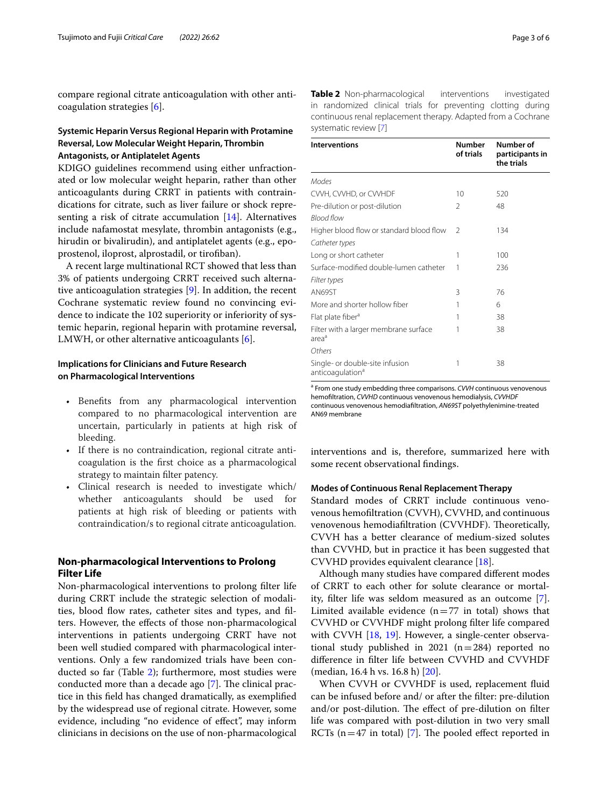compare regional citrate anticoagulation with other anticoagulation strategies [[6\]](#page-4-4).

## **Systemic Heparin Versus Regional Heparin with Protamine Reversal, Low Molecular Weight Heparin, Thrombin Antagonists, or Antiplatelet Agents**

KDIGO guidelines recommend using either unfractionated or low molecular weight heparin, rather than other anticoagulants during CRRT in patients with contraindications for citrate, such as liver failure or shock representing a risk of citrate accumulation [[14\]](#page-4-12). Alternatives include nafamostat mesylate, thrombin antagonists (e.g., hirudin or bivalirudin), and antiplatelet agents (e.g., epoprostenol, iloprost, alprostadil, or tirofban).

A recent large multinational RCT showed that less than 3% of patients undergoing CRRT received such alternative anticoagulation strategies [\[9](#page-4-9)]. In addition, the recent Cochrane systematic review found no convincing evidence to indicate the 102 superiority or inferiority of systemic heparin, regional heparin with protamine reversal, LMWH, or other alternative anticoagulants [[6\]](#page-4-4).

#### **Implications for Clinicians and Future Research on Pharmacological Interventions**

- Benefts from any pharmacological intervention compared to no pharmacological intervention are uncertain, particularly in patients at high risk of bleeding.
- If there is no contraindication, regional citrate anticoagulation is the frst choice as a pharmacological strategy to maintain flter patency.
- Clinical research is needed to investigate which/ whether anticoagulants should be used for patients at high risk of bleeding or patients with contraindication/s to regional citrate anticoagulation.

## **Non‑pharmacological Interventions to Prolong Filter Life**

Non-pharmacological interventions to prolong flter life during CRRT include the strategic selection of modalities, blood flow rates, catheter sites and types, and filters. However, the efects of those non-pharmacological interventions in patients undergoing CRRT have not been well studied compared with pharmacological interventions. Only a few randomized trials have been conducted so far (Table [2\)](#page-2-0); furthermore, most studies were conducted more than a decade ago [\[7](#page-4-5)]. The clinical practice in this feld has changed dramatically, as exemplifed by the widespread use of regional citrate. However, some evidence, including "no evidence of efect", may inform clinicians in decisions on the use of non-pharmacological <span id="page-2-0"></span>**Table 2** Non-pharmacological interventions investigated in randomized clinical trials for preventing clotting during continuous renal replacement therapy. Adapted from a Cochrane systematic review [[7](#page-4-5)]

| <b>Interventions</b>                                            | <b>Number</b><br>of trials | Number of<br>participants in<br>the trials |
|-----------------------------------------------------------------|----------------------------|--------------------------------------------|
| Modes                                                           |                            |                                            |
| CVVH, CVVHD, or CVVHDF                                          | 10                         | 520                                        |
| Pre-dilution or post-dilution                                   | 2                          | 48                                         |
| <b>Blood flow</b>                                               |                            |                                            |
| Higher blood flow or standard blood flow                        | $\mathcal{P}$              | 134                                        |
| Catheter types                                                  |                            |                                            |
| Long or short catheter                                          |                            | 100                                        |
| Surface-modified double-lumen catheter                          | 1                          | 236                                        |
| Filter types                                                    |                            |                                            |
| AN69ST                                                          | 3                          | 76                                         |
| More and shorter hollow fiber                                   | 1                          | 6                                          |
| Flat plate fiber <sup>a</sup>                                   | 1                          | 38                                         |
| Filter with a larger membrane surface<br>area <sup>a</sup>      | 1                          | 38                                         |
| Others                                                          |                            |                                            |
| Single- or double-site infusion<br>anticoagulation <sup>a</sup> | 1                          | 38                                         |

<sup>a</sup> From one study embedding three comparisons. *CVVH* continuous venovenous hemofltration, *CVVHD* continuous venovenous hemodialysis, *CVVHDF* continuous venovenous hemodiafltration, *AN69ST* polyethylenimine-treated AN69 membrane

interventions and is, therefore, summarized here with some recent observational fndings.

#### **Modes of Continuous Renal Replacement Therapy**

Standard modes of CRRT include continuous venovenous hemofltration (CVVH), CVVHD, and continuous venovenous hemodiafiltration (CVVHDF). Theoretically, CVVH has a better clearance of medium-sized solutes than CVVHD, but in practice it has been suggested that CVVHD provides equivalent clearance [[18\]](#page-4-16).

Although many studies have compared diferent modes of CRRT to each other for solute clearance or mortality, flter life was seldom measured as an outcome [\[7](#page-4-5)]. Limited available evidence  $(n=77$  in total) shows that CVVHD or CVVHDF might prolong flter life compared with CVVH [[18,](#page-4-16) [19](#page-4-17)]. However, a single-center observational study published in 2021 ( $n=284$ ) reported no diference in flter life between CVVHD and CVVHDF (median, 16.4 h vs. 16.8 h) [[20\]](#page-4-18).

When CVVH or CVVHDF is used, replacement fluid can be infused before and/ or after the flter: pre-dilution and/or post-dilution. The effect of pre-dilution on filter life was compared with post-dilution in two very small RCTs ( $n=47$  in total) [\[7\]](#page-4-5). The pooled effect reported in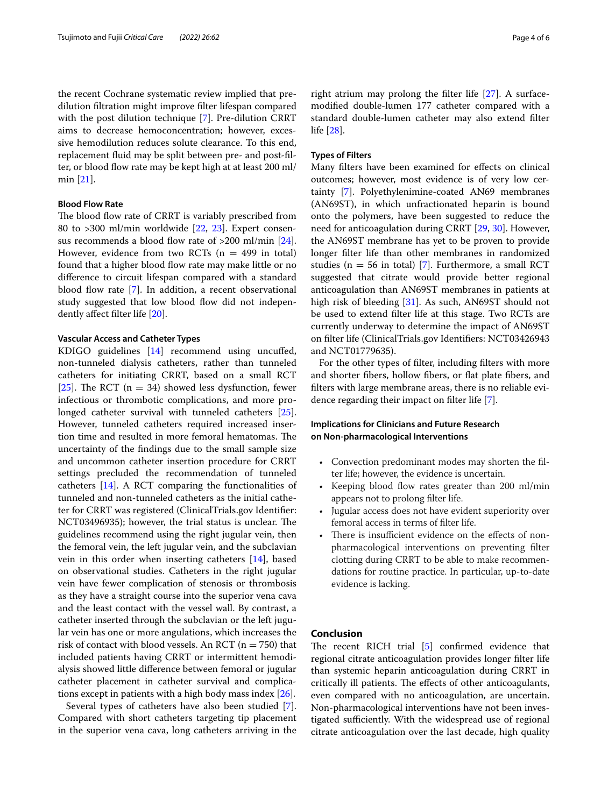the recent Cochrane systematic review implied that predilution fltration might improve flter lifespan compared with the post dilution technique [[7](#page-4-5)]. Pre-dilution CRRT aims to decrease hemoconcentration; however, excessive hemodilution reduces solute clearance. To this end, replacement fuid may be split between pre- and post-flter, or blood flow rate may be kept high at at least 200 ml/ min [[21](#page-4-19)].

#### **Blood Flow Rate**

The blood flow rate of CRRT is variably prescribed from 80 to >300 ml/min worldwide [[22,](#page-4-20) [23\]](#page-4-21). Expert consensus recommends a blood flow rate of  $>200$  ml/min [\[24](#page-4-22)]. However, evidence from two RCTs  $(n = 499$  in total) found that a higher blood flow rate may make little or no diference to circuit lifespan compared with a standard blood flow rate [\[7\]](#page-4-5). In addition, a recent observational study suggested that low blood flow did not independently afect flter life [[20\]](#page-4-18).

#### **Vascular Access and Catheter Types**

KDIGO guidelines [\[14](#page-4-12)] recommend using uncufed, non-tunneled dialysis catheters, rather than tunneled catheters for initiating CRRT, based on a small RCT [[25\]](#page-4-23). The RCT ( $n = 34$ ) showed less dysfunction, fewer infectious or thrombotic complications, and more prolonged catheter survival with tunneled catheters [\[25](#page-4-23)]. However, tunneled catheters required increased insertion time and resulted in more femoral hematomas. The uncertainty of the fndings due to the small sample size and uncommon catheter insertion procedure for CRRT settings precluded the recommendation of tunneled catheters [\[14\]](#page-4-12). A RCT comparing the functionalities of tunneled and non-tunneled catheters as the initial catheter for CRRT was registered (ClinicalTrials.gov Identifer: NCT03496935); however, the trial status is unclear. The guidelines recommend using the right jugular vein, then the femoral vein, the left jugular vein, and the subclavian vein in this order when inserting catheters [[14](#page-4-12)], based on observational studies. Catheters in the right jugular vein have fewer complication of stenosis or thrombosis as they have a straight course into the superior vena cava and the least contact with the vessel wall. By contrast, a catheter inserted through the subclavian or the left jugular vein has one or more angulations, which increases the risk of contact with blood vessels. An RCT ( $n = 750$ ) that included patients having CRRT or intermittent hemodialysis showed little diference between femoral or jugular catheter placement in catheter survival and complications except in patients with a high body mass index [\[26](#page-4-24)].

Several types of catheters have also been studied [\[7](#page-4-5)]. Compared with short catheters targeting tip placement in the superior vena cava, long catheters arriving in the right atrium may prolong the flter life [[27\]](#page-4-25). A surfacemodifed double-lumen 177 catheter compared with a standard double-lumen catheter may also extend flter life [[28\]](#page-4-26).

#### **Types of Filters**

Many flters have been examined for efects on clinical outcomes; however, most evidence is of very low certainty [\[7](#page-4-5)]. Polyethylenimine-coated AN69 membranes (AN69ST), in which unfractionated heparin is bound onto the polymers, have been suggested to reduce the need for anticoagulation during CRRT [[29,](#page-5-0) [30](#page-5-1)]. However, the AN69ST membrane has yet to be proven to provide longer flter life than other membranes in randomized studies ( $n = 56$  in total) [[7\]](#page-4-5). Furthermore, a small RCT suggested that citrate would provide better regional anticoagulation than AN69ST membranes in patients at high risk of bleeding [[31](#page-5-2)]. As such, AN69ST should not be used to extend flter life at this stage. Two RCTs are currently underway to determine the impact of AN69ST on flter life (ClinicalTrials.gov Identifers: NCT03426943 and NCT01779635).

For the other types of flter, including flters with more and shorter fbers, hollow fbers, or fat plate fbers, and flters with large membrane areas, there is no reliable evidence regarding their impact on flter life [\[7](#page-4-5)].

## **Implications for Clinicians and Future Research on Non‑pharmacological Interventions**

- Convection predominant modes may shorten the flter life; however, the evidence is uncertain.
- Keeping blood flow rates greater than 200 ml/min appears not to prolong flter life.
- Jugular access does not have evident superiority over femoral access in terms of flter life.
- There is insufficient evidence on the effects of nonpharmacological interventions on preventing flter clotting during CRRT to be able to make recommendations for routine practice. In particular, up-to-date evidence is lacking.

#### **Conclusion**

The recent RICH trial  $[5]$  $[5]$  confirmed evidence that regional citrate anticoagulation provides longer flter life than systemic heparin anticoagulation during CRRT in critically ill patients. The effects of other anticoagulants, even compared with no anticoagulation, are uncertain. Non-pharmacological interventions have not been investigated sufficiently. With the widespread use of regional citrate anticoagulation over the last decade, high quality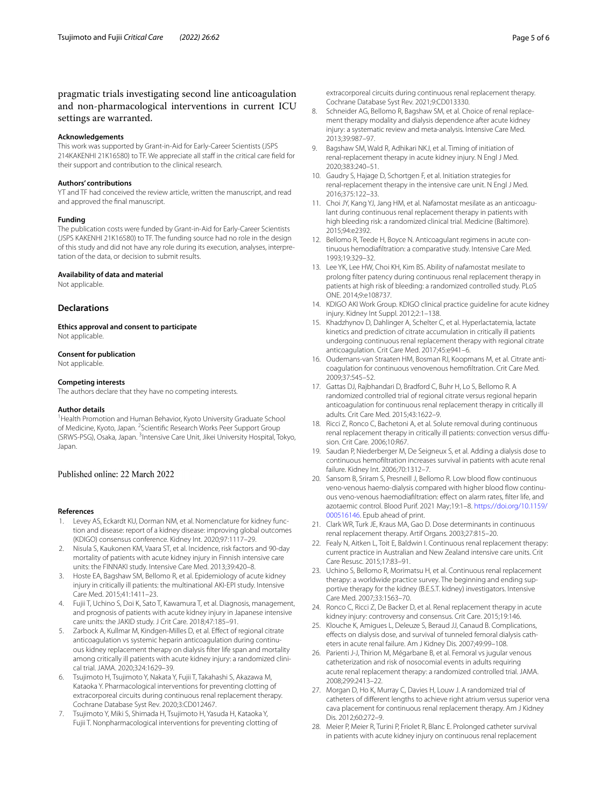#### **Acknowledgements**

This work was supported by Grant-in-Aid for Early-Career Scientists (JSPS 214KAKENHI 21K16580) to TF. We appreciate all staff in the critical care field for their support and contribution to the clinical research.

#### **Authors' contributions**

YT and TF had conceived the review article, written the manuscript, and read and approved the fnal manuscript.

#### **Funding**

The publication costs were funded by Grant-in-Aid for Early-Career Scientists (JSPS KAKENHI 21K16580) to TF. The funding source had no role in the design of this study and did not have any role during its execution, analyses, interpretation of the data, or decision to submit results.

#### **Availability of data and material**

Not applicable.

#### **Declarations**

**Ethics approval and consent to participate** Not applicable.

#### **Consent for publication**

Not applicable.

#### **Competing interests**

The authors declare that they have no competing interests.

#### **Author details**

<sup>1</sup> Health Promotion and Human Behavior, Kyoto University Graduate School of Medicine, Kyoto, Japan. <sup>2</sup> Scientific Research Works Peer Support Group (SRWS-PSG), Osaka, Japan. <sup>3</sup>Intensive Care Unit, Jikei University Hospital, Tokyo, Japan.

## Published online: 22 March 2022

#### **References**

- <span id="page-4-0"></span>1. Levey AS, Eckardt KU, Dorman NM, et al. Nomenclature for kidney function and disease: report of a kidney disease: improving global outcomes (KDIGO) consensus conference. Kidney Int. 2020;97:1117–29.
- <span id="page-4-1"></span>2. Nisula S, Kaukonen KM, Vaara ST, et al. Incidence, risk factors and 90-day mortality of patients with acute kidney injury in Finnish intensive care units: the FINNAKI study. Intensive Care Med. 2013;39:420–8.
- <span id="page-4-6"></span>3. Hoste EA, Bagshaw SM, Bellomo R, et al. Epidemiology of acute kidney injury in critically ill patients: the multinational AKI-EPI study. Intensive Care Med. 2015;41:1411–23.
- <span id="page-4-2"></span>4. Fujii T, Uchino S, Doi K, Sato T, Kawamura T, et al. Diagnosis, management, and prognosis of patients with acute kidney injury in Japanese intensive care units: the JAKID study. J Crit Care. 2018;47:185–91.
- <span id="page-4-3"></span>5. Zarbock A, Kullmar M, Kindgen-Milles D, et al. Efect of regional citrate anticoagulation vs systemic heparin anticoagulation during continuous kidney replacement therapy on dialysis flter life span and mortality among critically ill patients with acute kidney injury: a randomized clinical trial. JAMA. 2020;324:1629–39.
- <span id="page-4-4"></span>6. Tsujimoto H, Tsujimoto Y, Nakata Y, Fujii T, Takahashi S, Akazawa M, Kataoka Y. Pharmacological interventions for preventing clotting of extracorporeal circuits during continuous renal replacement therapy. Cochrane Database Syst Rev. 2020;3:CD012467.
- <span id="page-4-5"></span>7. Tsujimoto Y, Miki S, Shimada H, Tsujimoto H, Yasuda H, Kataoka Y, Fujii T. Nonpharmacological interventions for preventing clotting of

extracorporeal circuits during continuous renal replacement therapy. Cochrane Database Syst Rev. 2021;9:CD013330.

- <span id="page-4-7"></span>8. Schneider AG, Bellomo R, Bagshaw SM, et al. Choice of renal replacement therapy modality and dialysis dependence after acute kidney injury: a systematic review and meta-analysis. Intensive Care Med. 2013;39:987–97.
- <span id="page-4-9"></span>Bagshaw SM, Wald R, Adhikari NKJ, et al. Timing of initiation of renal-replacement therapy in acute kidney injury. N Engl J Med. 2020;383:240–51.
- <span id="page-4-8"></span>10. Gaudry S, Hajage D, Schortgen F, et al. Initiation strategies for renal-replacement therapy in the intensive care unit. N Engl J Med. 2016;375:122–33.
- <span id="page-4-10"></span>11. Choi JY, Kang YJ, Jang HM, et al. Nafamostat mesilate as an anticoagulant during continuous renal replacement therapy in patients with high bleeding risk: a randomized clinical trial. Medicine (Baltimore). 2015;94:e2392.
- 12. Bellomo R, Teede H, Boyce N. Anticoagulant regimens in acute continuous hemodiafltration: a comparative study. Intensive Care Med. 1993;19:329–32.
- <span id="page-4-11"></span>13. Lee YK, Lee HW, Choi KH, Kim BS. Ability of nafamostat mesilate to prolong flter patency during continuous renal replacement therapy in patients at high risk of bleeding: a randomized controlled study. PLoS ONE. 2014;9:e108737.
- <span id="page-4-12"></span>14. KDIGO AKI Work Group. KDIGO clinical practice guideline for acute kidney injury. Kidney Int Suppl. 2012;2:1–138.
- <span id="page-4-13"></span>15. Khadzhynov D, Dahlinger A, Schelter C, et al. Hyperlactatemia, lactate kinetics and prediction of citrate accumulation in critically ill patients undergoing continuous renal replacement therapy with regional citrate anticoagulation. Crit Care Med. 2017;45:e941–6.
- <span id="page-4-14"></span>16. Oudemans-van Straaten HM, Bosman RJ, Koopmans M, et al. Citrate anticoagulation for continuous venovenous hemofltration. Crit Care Med. 2009;37:545–52.
- <span id="page-4-15"></span>17. Gattas DJ, Rajbhandari D, Bradford C, Buhr H, Lo S, Bellomo R. A randomized controlled trial of regional citrate versus regional heparin anticoagulation for continuous renal replacement therapy in critically ill adults. Crit Care Med. 2015;43:1622–9.
- <span id="page-4-16"></span>18. Ricci Z, Ronco C, Bachetoni A, et al. Solute removal during continuous renal replacement therapy in critically ill patients: convection versus difusion. Crit Care. 2006;10:R67.
- <span id="page-4-17"></span>19. Saudan P, Niederberger M, De Seigneux S, et al. Adding a dialysis dose to continuous hemofltration increases survival in patients with acute renal failure. Kidney Int. 2006;70:1312–7.
- <span id="page-4-18"></span>20. Sansom B, Sriram S, Presneill J, Bellomo R. Low blood flow continuous veno-venous haemo-dialysis compared with higher blood fow continuous veno-venous haemodiafltration: efect on alarm rates, flter life, and azotaemic control. Blood Purif. 2021 May;19:1–8. [https://doi.org/10.1159/](https://doi.org/10.1159/000516146) [000516146.](https://doi.org/10.1159/000516146) Epub ahead of print.
- <span id="page-4-19"></span>21. Clark WR, Turk JE, Kraus MA, Gao D. Dose determinants in continuous renal replacement therapy. Artif Organs. 2003;27:815–20.
- <span id="page-4-20"></span>22. Fealy N, Aitken L, Toit E, Baldwin I. Continuous renal replacement therapy: current practice in Australian and New Zealand intensive care units. Crit Care Resusc. 2015;17:83–91.
- <span id="page-4-21"></span>23. Uchino S, Bellomo R, Morimatsu H, et al. Continuous renal replacement therapy: a worldwide practice survey. The beginning and ending supportive therapy for the kidney (B.E.S.T. kidney) investigators. Intensive Care Med. 2007;33:1563–70.
- <span id="page-4-22"></span>24. Ronco C, Ricci Z, De Backer D, et al. Renal replacement therapy in acute kidney injury: controversy and consensus. Crit Care. 2015;19:146.
- <span id="page-4-23"></span>25. Klouche K, Amigues L, Deleuze S, Beraud JJ, Canaud B. Complications, efects on dialysis dose, and survival of tunneled femoral dialysis catheters in acute renal failure. Am J Kidney Dis. 2007;49:99–108.
- <span id="page-4-24"></span>26. Parienti J-J, Thirion M, Mégarbane B, et al. Femoral vs jugular venous catheterization and risk of nosocomial events in adults requiring acute renal replacement therapy: a randomized controlled trial. JAMA. 2008;299:2413–22.
- <span id="page-4-25"></span>27. Morgan D, Ho K, Murray C, Davies H, Louw J. A randomized trial of catheters of diferent lengths to achieve right atrium versus superior vena cava placement for continuous renal replacement therapy. Am J Kidney Dis. 2012;60:272–9.
- <span id="page-4-26"></span>28. Meier P, Meier R, Turini P, Friolet R, Blanc E. Prolonged catheter survival in patients with acute kidney injury on continuous renal replacement